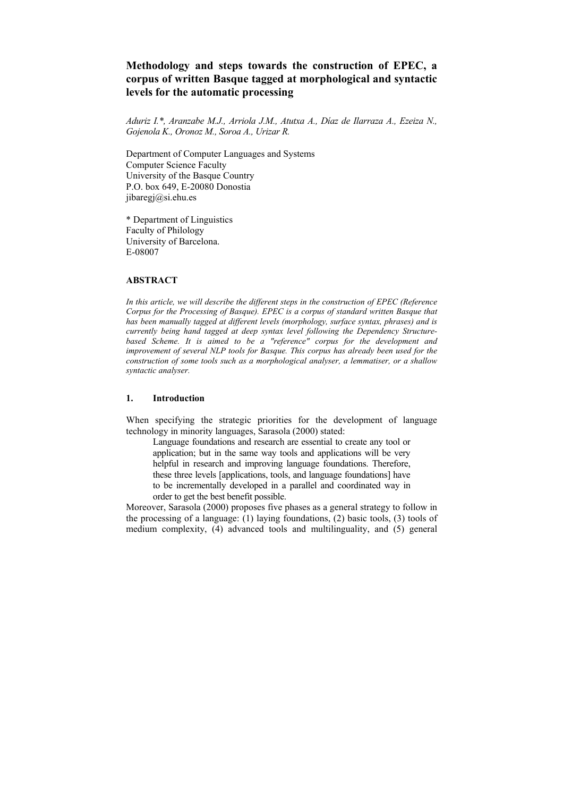# **Methodology and steps towards the construction of EPEC, a corpus of written Basque tagged at morphological and syntactic levels for the automatic processing**

*Aduriz I.\*, Aranzabe M.J., Arriola J.M., Atutxa A., Díaz de Ilarraza A., Ezeiza N., Gojenola K., Oronoz M., Soroa A., Urizar R.* 

Department of Computer Languages and Systems Computer Science Faculty University of the Basque Country P.O. box 649, E-20080 Donostia [jibaregj@si.ehu.es](mailto:jibaregj@si.ehu.es)

\* Department of Linguistics Faculty of Philology University of Barcelona. E-08007

## **ABSTRACT**

*In this article, we will describe the different steps in the construction of EPEC (Reference Corpus for the Processing of Basque). EPEC is a corpus of standard written Basque that has been manually tagged at different levels (morphology, surface syntax, phrases) and is currently being hand tagged at deep syntax level following the Dependency Structurebased Scheme. It is aimed to be a "reference" corpus for the development and improvement of several NLP tools for Basque. This corpus has already been used for the construction of some tools such as a morphological analyser, a lemmatiser, or a shallow syntactic analyser.* 

## **1. Introduction**

When specifying the strategic priorities for the development of language technology in minority languages, Sarasola (2000) stated:

Language foundations and research are essential to create any tool or application; but in the same way tools and applications will be very helpful in research and improving language foundations. Therefore, these three levels [applications, tools, and language foundations] have to be incrementally developed in a parallel and coordinated way in order to get the best benefit possible.

Moreover, Sarasola (2000) proposes five phases as a general strategy to follow in the processing of a language: (1) laying foundations, (2) basic tools, (3) tools of medium complexity, (4) advanced tools and multilinguality, and (5) general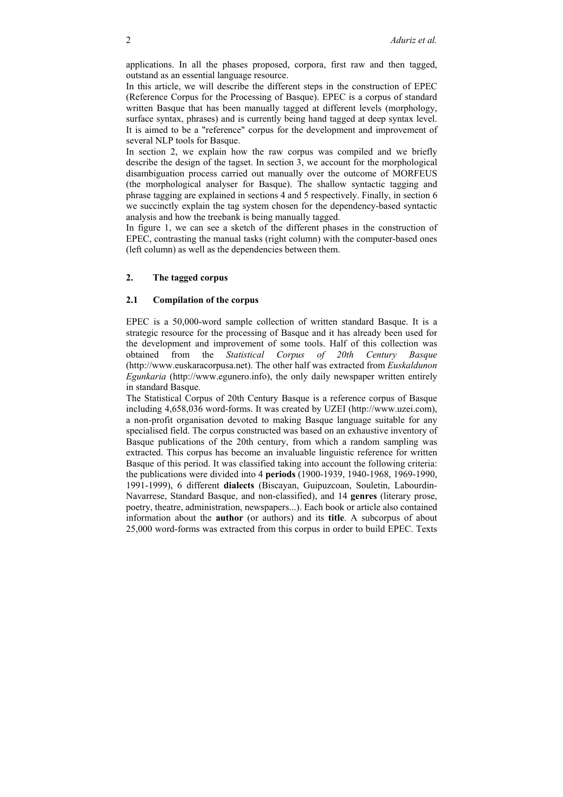applications. In all the phases proposed, corpora, first raw and then tagged, outstand as an essential language resource.

In this article, we will describe the different steps in the construction of EPEC (Reference Corpus for the Processing of Basque). EPEC is a corpus of standard written Basque that has been manually tagged at different levels (morphology, surface syntax, phrases) and is currently being hand tagged at deep syntax level. It is aimed to be a "reference" corpus for the development and improvement of several NLP tools for Basque.

In section 2, we explain how the raw corpus was compiled and we briefly describe the design of the tagset. In section 3, we account for the morphological disambiguation process carried out manually over the outcome of MORFEUS (the morphological analyser for Basque). The shallow syntactic tagging and phrase tagging are explained in sections 4 and 5 respectively. Finally, in section 6 we succinctly explain the tag system chosen for the dependency-based syntactic analysis and how the treebank is being manually tagged.

In figure 1, we can see a sketch of the different phases in the construction of EPEC, contrasting the manual tasks (right column) with the computer-based ones (left column) as well as the dependencies between them.

# **2. The tagged corpus**

#### **2.1 Compilation of the corpus**

EPEC is a 50,000-word sample collection of written standard Basque. It is a strategic resource for the processing of Basque and it has already been used for the development and improvement of some tools. Half of this collection was obtained from the *Statistical Corpus of 20th Century Basque* obtained from the *Statistical Corpus of 20th Century Basque* (http://www.euskaracorpusa.net). The other half was extracted from *Euskaldunon Egunkaria* (http://www.egunero.info), the only daily newspaper written entirely in standard Basque.

The Statistical Corpus of 20th Century Basque is a reference corpus of Basque including 4,658,036 word-forms. It was created by UZEI ([http://www.uzei.com](http://www.uzei.com/)), a non-profit organisation devoted to making Basque language suitable for any specialised field. The corpus constructed was based on an exhaustive inventory of Basque publications of the 20th century, from which a random sampling was extracted. This corpus has become an invaluable linguistic reference for written Basque of this period. It was classified taking into account the following criteria: the publications were divided into 4 **periods** (1900-1939, 1940-1968, 1969-1990, 1991-1999), 6 different **dialects** (Biscayan, Guipuzcoan, Souletin, Labourdin-Navarrese, Standard Basque, and non-classified), and 14 **genres** (literary prose, poetry, theatre, administration, newspapers...). Each book or article also contained information about the **author** (or authors) and its **title**. A subcorpus of about 25,000 word-forms was extracted from this corpus in order to build EPEC. Texts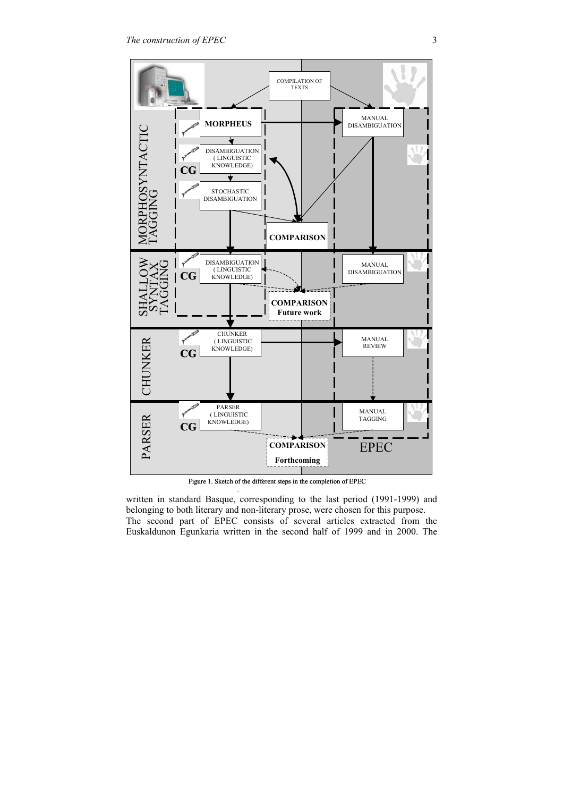

Figure 1. Sketch of the different steps in the completion of EPEC

.

written in standard Basque, corresponding to the last period (1991-1999) and belonging to both literary and non-literary prose, were chosen for this purpose. The second part of EPEC consists of several articles extracted from the Euskaldunon Egunkaria written in the second half of 1999 and in 2000. The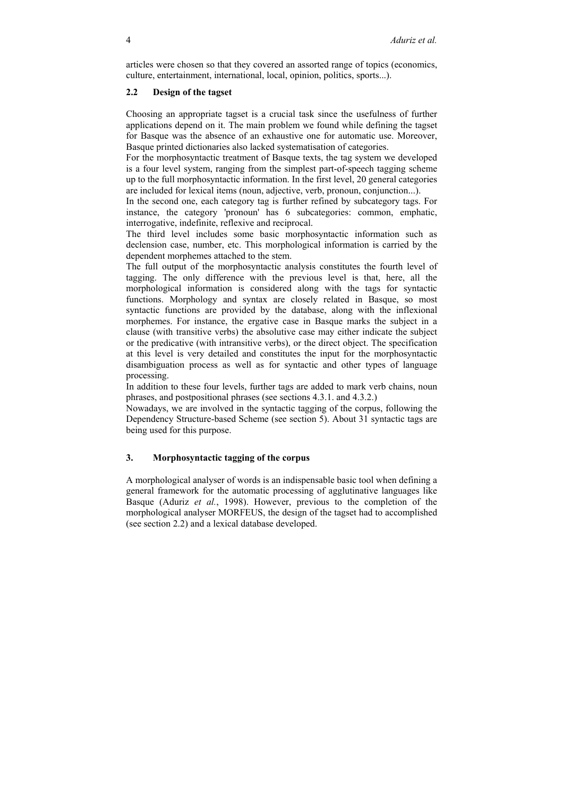articles were chosen so that they covered an assorted range of topics (economics, culture, entertainment, international, local, opinion, politics, sports...).

#### **2.2 Design of the tagset**

Choosing an appropriate tagset is a crucial task since the usefulness of further applications depend on it. The main problem we found while defining the tagset for Basque was the absence of an exhaustive one for automatic use. Moreover, Basque printed dictionaries also lacked systematisation of categories.

For the morphosyntactic treatment of Basque texts, the tag system we developed is a four level system, ranging from the simplest part-of-speech tagging scheme up to the full morphosyntactic information. In the first level, 20 general categories are included for lexical items (noun, adjective, verb, pronoun, conjunction...).

In the second one, each category tag is further refined by subcategory tags. For instance, the category 'pronoun' has 6 subcategories: common, emphatic, interrogative, indefinite, reflexive and reciprocal.

The third level includes some basic morphosyntactic information such as declension case, number, etc. This morphological information is carried by the dependent morphemes attached to the stem.

The full output of the morphosyntactic analysis constitutes the fourth level of tagging. The only difference with the previous level is that, here, all the morphological information is considered along with the tags for syntactic functions. Morphology and syntax are closely related in Basque, so most syntactic functions are provided by the database, along with the inflexional morphemes. For instance, the ergative case in Basque marks the subject in a clause (with transitive verbs) the absolutive case may either indicate the subject or the predicative (with intransitive verbs), or the direct object. The specification at this level is very detailed and constitutes the input for the morphosyntactic disambiguation process as well as for syntactic and other types of language processing.

In addition to these four levels, further tags are added to mark verb chains, noun phrases, and postpositional phrases (see sections 4.3.1. and 4.3.2.)

Nowadays, we are involved in the syntactic tagging of the corpus, following the Dependency Structure-based Scheme (see section 5). About 31 syntactic tags are being used for this purpose.

## **3. Morphosyntactic tagging of the corpus**

A morphological analyser of words is an indispensable basic tool when defining a general framework for the automatic processing of agglutinative languages like Basque (Aduriz *et al.*, 1998). However, previous to the completion of the morphological analyser MORFEUS, the design of the tagset had to accomplished (see section 2.2) and a lexical database developed.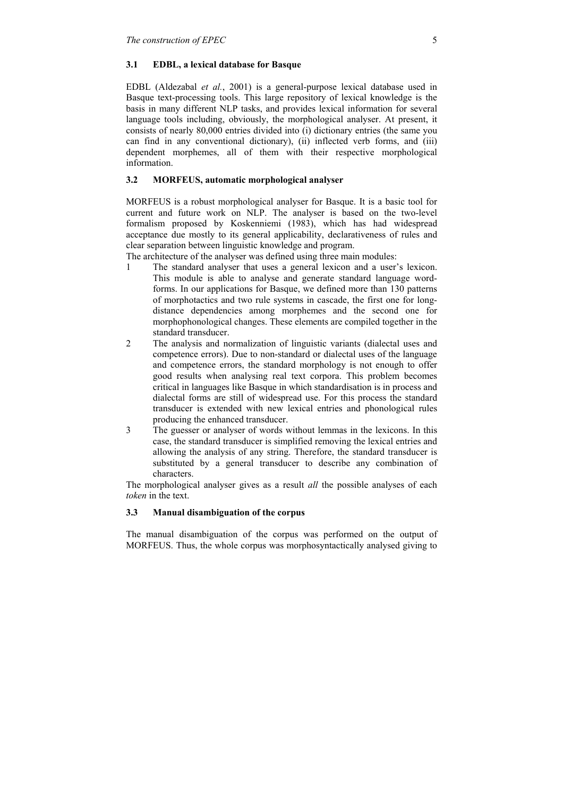## **3.1 EDBL, a lexical database for Basque**

EDBL (Aldezabal *et al.*, 2001) is a general-purpose lexical database used in Basque text-processing tools. This large repository of lexical knowledge is the basis in many different NLP tasks, and provides lexical information for several language tools including, obviously, the morphological analyser. At present, it consists of nearly 80,000 entries divided into (i) dictionary entries (the same you can find in any conventional dictionary), (ii) inflected verb forms, and (iii) dependent morphemes, all of them with their respective morphological information.

# **3.2 MORFEUS, automatic morphological analyser**

MORFEUS is a robust morphological analyser for Basque. It is a basic tool for current and future work on NLP. The analyser is based on the two-level formalism proposed by Koskenniemi (1983), which has had widespread acceptance due mostly to its general applicability, declarativeness of rules and clear separation between linguistic knowledge and program.

The architecture of the analyser was defined using three main modules:

- 1 The standard analyser that uses a general lexicon and a user's lexicon. This module is able to analyse and generate standard language wordforms. In our applications for Basque, we defined more than 130 patterns of morphotactics and two rule systems in cascade, the first one for longdistance dependencies among morphemes and the second one for morphophonological changes. These elements are compiled together in the standard transducer.
- 2 The analysis and normalization of linguistic variants (dialectal uses and competence errors). Due to non-standard or dialectal uses of the language and competence errors, the standard morphology is not enough to offer good results when analysing real text corpora. This problem becomes critical in languages like Basque in which standardisation is in process and dialectal forms are still of widespread use. For this process the standard transducer is extended with new lexical entries and phonological rules producing the enhanced transducer.
- 3 The guesser or analyser of words without lemmas in the lexicons. In this case, the standard transducer is simplified removing the lexical entries and allowing the analysis of any string. Therefore, the standard transducer is substituted by a general transducer to describe any combination of characters.

The morphological analyser gives as a result *all* the possible analyses of each *token* in the text.

## **3.3 Manual disambiguation of the corpus**

The manual disambiguation of the corpus was performed on the output of MORFEUS. Thus, the whole corpus was morphosyntactically analysed giving to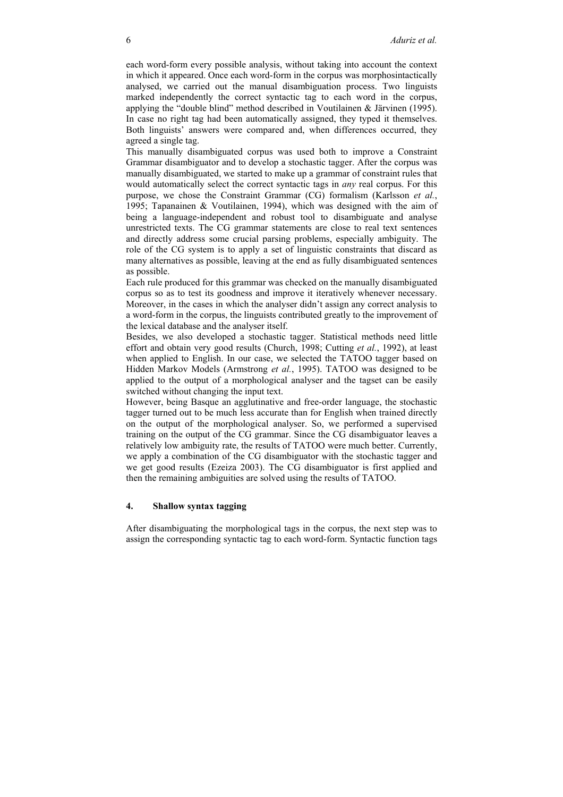each word-form every possible analysis, without taking into account the context in which it appeared. Once each word-form in the corpus was morphosintactically analysed, we carried out the manual disambiguation process. Two linguists marked independently the correct syntactic tag to each word in the corpus, applying the "double blind" method described in Voutilainen & Järvinen (1995). In case no right tag had been automatically assigned, they typed it themselves. Both linguists' answers were compared and, when differences occurred, they agreed a single tag.

This manually disambiguated corpus was used both to improve a Constraint Grammar disambiguator and to develop a stochastic tagger. After the corpus was manually disambiguated, we started to make up a grammar of constraint rules that would automatically select the correct syntactic tags in *any* real corpus. For this purpose, we chose the Constraint Grammar (CG) formalism (Karlsson *et al.*, 1995; Tapanainen & Voutilainen, 1994), which was designed with the aim of being a language-independent and robust tool to disambiguate and analyse unrestricted texts. The CG grammar statements are close to real text sentences and directly address some crucial parsing problems, especially ambiguity. The role of the CG system is to apply a set of linguistic constraints that discard as many alternatives as possible, leaving at the end as fully disambiguated sentences as possible.

Each rule produced for this grammar was checked on the manually disambiguated corpus so as to test its goodness and improve it iteratively whenever necessary. Moreover, in the cases in which the analyser didn't assign any correct analysis to a word-form in the corpus, the linguists contributed greatly to the improvement of the lexical database and the analyser itself.

Besides, we also developed a stochastic tagger. Statistical methods need little effort and obtain very good results (Church, 1998; Cutting *et al.*, 1992), at least when applied to English. In our case, we selected the TATOO tagger based on Hidden Markov Models (Armstrong *et al.*, 1995). TATOO was designed to be applied to the output of a morphological analyser and the tagset can be easily switched without changing the input text.

However, being Basque an agglutinative and free-order language, the stochastic tagger turned out to be much less accurate than for English when trained directly on the output of the morphological analyser. So, we performed a supervised training on the output of the CG grammar. Since the CG disambiguator leaves a relatively low ambiguity rate, the results of TATOO were much better. Currently, we apply a combination of the CG disambiguator with the stochastic tagger and we get good results (Ezeiza 2003). The CG disambiguator is first applied and then the remaining ambiguities are solved using the results of TATOO.

#### **4. Shallow syntax tagging**

After disambiguating the morphological tags in the corpus, the next step was to assign the corresponding syntactic tag to each word-form. Syntactic function tags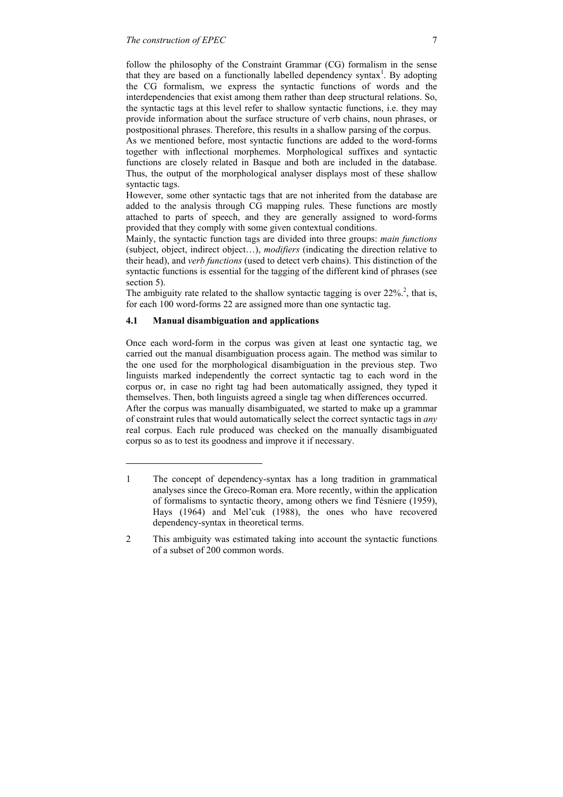follow the philosophy of the Constraint Grammar (CG) formalism in the sense that they are based on a functionally labelled dependency syntax<sup>[1](#page-6-0)</sup>. By adopting the CG formalism, we express the syntactic functions of words and the interdependencies that exist among them rather than deep structural relations. So, the syntactic tags at this level refer to shallow syntactic functions, i.e. they may provide information about the surface structure of verb chains, noun phrases, or postpositional phrases. Therefore, this results in a shallow parsing of the corpus.

As we mentioned before, most syntactic functions are added to the word-forms together with inflectional morphemes. Morphological suffixes and syntactic functions are closely related in Basque and both are included in the database. Thus, the output of the morphological analyser displays most of these shallow syntactic tags.

However, some other syntactic tags that are not inherited from the database are added to the analysis through CG mapping rules. These functions are mostly attached to parts of speech, and they are generally assigned to word-forms provided that they comply with some given contextual conditions.

Mainly, the syntactic function tags are divided into three groups: *main functions* (subject, object, indirect object…), *modifiers* (indicating the direction relative to their head), and *verb functions* (used to detect verb chains). This distinction of the syntactic functions is essential for the tagging of the different kind of phrases (see section 5).

The ambiguity rate related to the shallow syntactic tagging is over  $22\%$ <sup>2</sup>, that is, for each 100 word-forms 22 are assigned more than one syntactic tag.

# **4.1 Manual disambiguation and applications**

l

Once each word-form in the corpus was given at least one syntactic tag, we carried out the manual disambiguation process again. The method was similar to the one used for the morphological disambiguation in the previous step. Two linguists marked independently the correct syntactic tag to each word in the corpus or, in case no right tag had been automatically assigned, they typed it themselves. Then, both linguists agreed a single tag when differences occurred. After the corpus was manually disambiguated, we started to make up a grammar of constraint rules that would automatically select the correct syntactic tags in *any* real corpus. Each rule produced was checked on the manually disambiguated corpus so as to test its goodness and improve it if necessary.

<span id="page-6-0"></span><sup>1</sup> The concept of dependency-syntax has a long tradition in grammatical analyses since the Greco-Roman era. More recently, within the application of formalisms to syntactic theory, among others we find Tésniere (1959), Hays (1964) and Mel'cuk (1988), the ones who have recovered dependency-syntax in theoretical terms.

<span id="page-6-1"></span><sup>2</sup> This ambiguity was estimated taking into account the syntactic functions of a subset of 200 common words.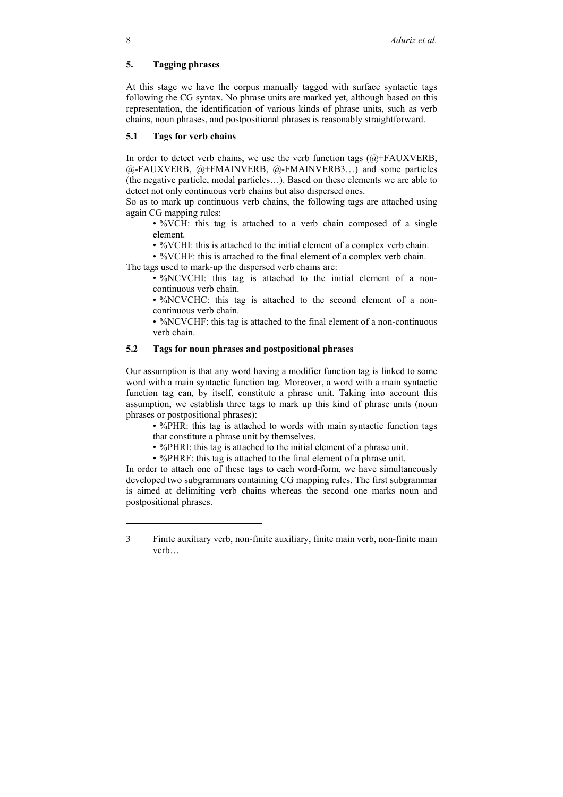## **5. Tagging phrases**

At this stage we have the corpus manually tagged with surface syntactic tags following the CG syntax. No phrase units are marked yet, although based on this representation, the identification of various kinds of phrase units, such as verb chains, noun phrases, and postpositional phrases is reasonably straightforward.

## **5.1 Tags for verb chains**

In order to detect verb chains, we use the verb function tags  $(Q + FAUXVERB)$ , @-FAUXVERB, @+FMAINVERB, @-FMAINVER[B3…](#page-7-0)) and some particles (the negative particle, modal particles…). Based on these elements we are able to detect not only continuous verb chains but also dispersed ones.

So as to mark up continuous verb chains, the following tags are attached using again CG mapping rules:

• %VCH: this tag is attached to a verb chain composed of a single element.

• %VCHI: this is attached to the initial element of a complex verb chain.

• %VCHF: this is attached to the final element of a complex verb chain.

The tags used to mark-up the dispersed verb chains are:

• %NCVCHI: this tag is attached to the initial element of a noncontinuous verb chain.

• %NCVCHC: this tag is attached to the second element of a noncontinuous verb chain.

• %NCVCHF: this tag is attached to the final element of a non-continuous verb chain.

# **5.2 Tags for noun phrases and postpositional phrases**

Our assumption is that any word having a modifier function tag is linked to some word with a main syntactic function tag. Moreover, a word with a main syntactic function tag can, by itself, constitute a phrase unit. Taking into account this assumption, we establish three tags to mark up this kind of phrase units (noun phrases or postpositional phrases):

• %PHR: this tag is attached to words with main syntactic function tags that constitute a phrase unit by themselves.

• %PHRI: this tag is attached to the initial element of a phrase unit.

• %PHRF: this tag is attached to the final element of a phrase unit.

In order to attach one of these tags to each word-form, we have simultaneously developed two subgrammars containing CG mapping rules. The first subgrammar is aimed at delimiting verb chains whereas the second one marks noun and postpositional phrases.

l

<span id="page-7-0"></span><sup>3</sup> Finite auxiliary verb, non-finite auxiliary, finite main verb, non-finite main verb…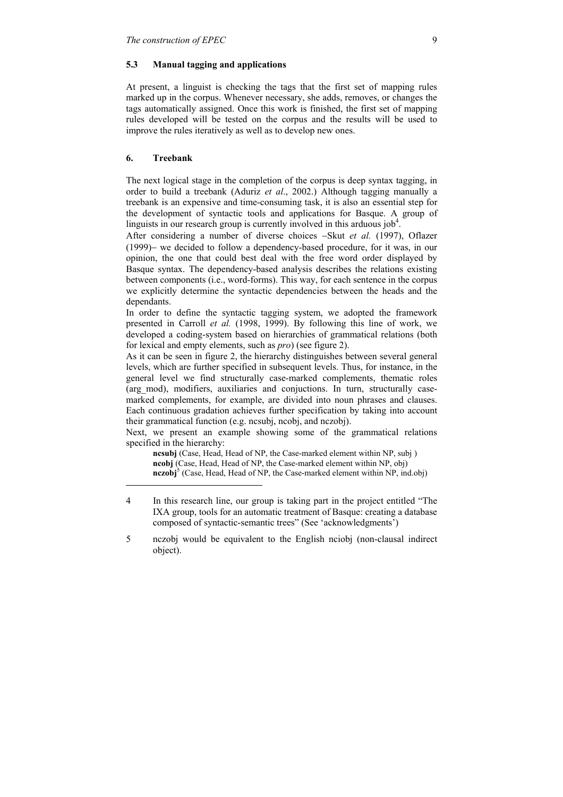#### **5.3 Manual tagging and applications**

At present, a linguist is checking the tags that the first set of mapping rules marked up in the corpus. Whenever necessary, she adds, removes, or changes the tags automatically assigned. Once this work is finished, the first set of mapping rules developed will be tested on the corpus and the results will be used to improve the rules iteratively as well as to develop new ones.

#### **6. Treebank**

l

The next logical stage in the completion of the corpus is deep syntax tagging, in order to build a treebank (Aduriz *et al*., 2002.) Although tagging manually a treebank is an expensive and time-consuming task, it is also an essential step for the development of syntactic tools and applications for Basque. A group of linguists in our research group is currently involved in this arduous job<sup>4</sup>.

After considering a number of diverse choices −Skut *et al.* (1997), Oflazer (1999)− we decided to follow a dependency-based procedure, for it was, in our opinion, the one that could best deal with the free word order displayed by Basque syntax. The dependency-based analysis describes the relations existing between components (i.e., word-forms). This way, for each sentence in the corpus we explicitly determine the syntactic dependencies between the heads and the dependants.

In order to define the syntactic tagging system, we adopted the framework presented in Carroll *et al.* (1998, 1999). By following this line of work, we developed a coding-system based on hierarchies of grammatical relations (both for lexical and empty elements, such as *pro*) (see figure 2).

As it can be seen in figure 2, the hierarchy distinguishes between several general levels, which are further specified in subsequent levels. Thus, for instance, in the general level we find structurally case-marked complements, thematic roles (arg\_mod), modifiers, auxiliaries and conjuctions. In turn, structurally casemarked complements, for example, are divided into noun phrases and clauses. Each continuous gradation achieves further specification by taking into account their grammatical function (e.g. ncsubj, ncobj, and nczobj).

Next, we present an example showing some of the grammatical relations specified in the hierarchy:

**ncsubj** (Case, Head, Head of NP, the Case-marked element within NP, subj ) **ncobj** (Case, Head, Head of NP, the Case-marked element within NP, obj) **nczobj**<sup>5</sup>(Case, Head, Head of NP, the Case-marked element within NP, ind.obj)

<span id="page-8-0"></span><sup>4</sup> In this research line, our group is taking part in the project entitled "The IXA group, tools for an automatic treatment of Basque: creating a database composed of syntactic-semantic trees" (See 'acknowledgments')

<span id="page-8-1"></span><sup>5</sup> nczobj would be equivalent to the English nciobj (non-clausal indirect object).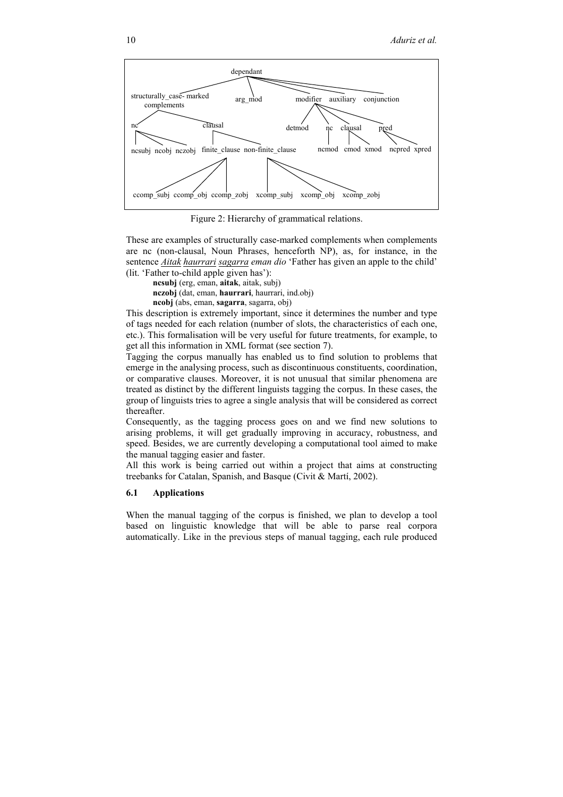

Figure 2: Hierarchy of grammatical relations.

These are examples of structurally case-marked complements when complements are nc (non-clausal, Noun Phrases, henceforth NP), as, for instance, in the sentence *Aitak haurrari sagarra eman dio* 'Father has given an apple to the child' (lit. 'Father to-child apple given has'):

**ncsubj** (erg, eman, **aitak**, aitak, subj)

**nczobj** (dat, eman, **haurrari**, haurrari, ind.obj)

**ncobj** (abs, eman, **sagarra**, sagarra, obj)

This description is extremely important, since it determines the number and type of tags needed for each relation (number of slots, the characteristics of each one, etc.). This formalisation will be very useful for future treatments, for example, to get all this information in XML format (see section 7).

Tagging the corpus manually has enabled us to find solution to problems that emerge in the analysing process, such as discontinuous constituents, coordination, or comparative clauses. Moreover, it is not unusual that similar phenomena are treated as distinct by the different linguists tagging the corpus. In these cases, the group of linguists tries to agree a single analysis that will be considered as correct thereafter.

Consequently, as the tagging process goes on and we find new solutions to arising problems, it will get gradually improving in accuracy, robustness, and speed. Besides, we are currently developing a computational tool aimed to make the manual tagging easier and faster.

All this work is being carried out within a project that aims at constructing treebanks for Catalan, Spanish, and Basque (Civit & Martí, 2002).

#### **6.1 Applications**

When the manual tagging of the corpus is finished, we plan to develop a tool based on linguistic knowledge that will be able to parse real corpora automatically. Like in the previous steps of manual tagging, each rule produced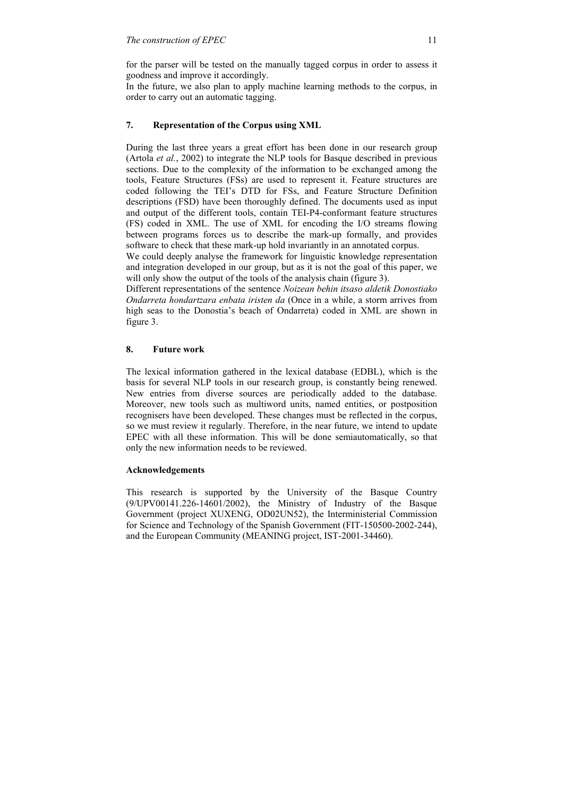for the parser will be tested on the manually tagged corpus in order to assess it goodness and improve it accordingly.

In the future, we also plan to apply machine learning methods to the corpus, in order to carry out an automatic tagging.

## **7. Representation of the Corpus using XML**

During the last three years a great effort has been done in our research group (Artola *et al.*, 2002) to integrate the NLP tools for Basque described in previous sections. Due to the complexity of the information to be exchanged among the tools, Feature Structures (FSs) are used to represent it. Feature structures are coded following the TEI's DTD for FSs, and Feature Structure Definition descriptions (FSD) have been thoroughly defined. The documents used as input and output of the different tools, contain TEI-P4-conformant feature structures (FS) coded in XML. The use of XML for encoding the I/O streams flowing between programs forces us to describe the mark-up formally, and provides software to check that these mark-up hold invariantly in an annotated corpus.

We could deeply analyse the framework for linguistic knowledge representation and integration developed in our group, but as it is not the goal of this paper, we will only show the output of the tools of the analysis chain (figure 3).

Different representations of the sentence *Noizean behin itsaso aldetik Donostiako Ondarreta hondartzara enbata iristen da* (Once in a while, a storm arrives from high seas to the Donostia's beach of Ondarreta) coded in XML are shown in figure 3.

## **8. Future work**

The lexical information gathered in the lexical database (EDBL), which is the basis for several NLP tools in our research group, is constantly being renewed. New entries from diverse sources are periodically added to the database. Moreover, new tools such as multiword units, named entities, or postposition recognisers have been developed. These changes must be reflected in the corpus, so we must review it regularly. Therefore, in the near future, we intend to update EPEC with all these information. This will be done semiautomatically, so that only the new information needs to be reviewed.

#### **Acknowledgements**

This research is supported by the University of the Basque Country (9/UPV00141.226-14601/2002), the Ministry of Industry of the Basque Government (project XUXENG, OD02UN52), the Interministerial Commission for Science and Technology of the Spanish Government (FIT-150500-2002-244), and the European Community (MEANING project, IST-2001-34460).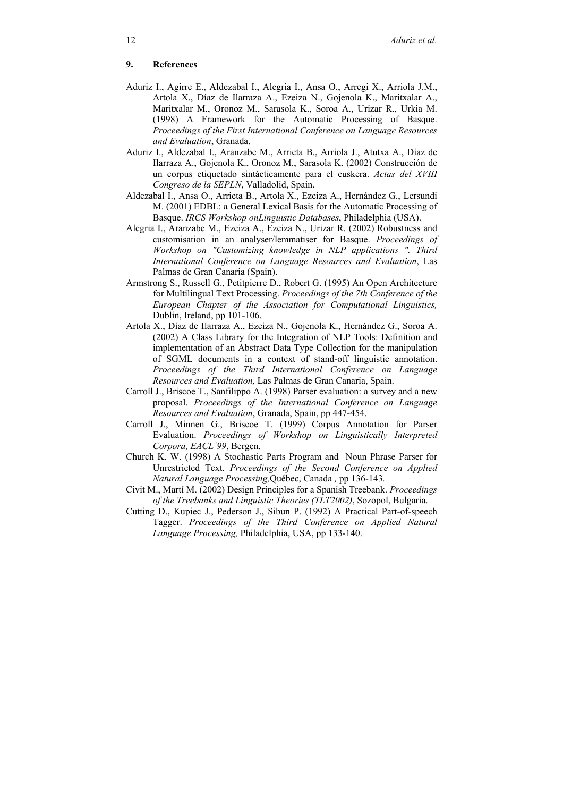# **9. References**

- Aduriz I., Agirre E., Aldezabal I., Alegria I., Ansa O., Arregi X., Arriola J.M., Artola X., Díaz de Ilarraza A., Ezeiza N., Gojenola K., Maritxalar A., Maritxalar M., Oronoz M., Sarasola K., Soroa A., Urizar R., Urkia M. (1998) A Framework for the Automatic Processing of Basque. *Proceedings of the First International Conference on Language Resources and Evaluation*, Granada.
- Aduriz I., Aldezabal I., Aranzabe M., Arrieta B., Arriola J., Atutxa A., Díaz de Ilarraza A., Gojenola K., Oronoz M., Sarasola K. (2002) Construcción de un corpus etiquetado sintácticamente para el euskera. *Actas del XVIII Congreso de la SEPLN*, Valladolid, Spain.
- Aldezabal I., Ansa O., Arrieta B., Artola X., Ezeiza A., Hernández G., Lersundi M. (2001) EDBL: a General Lexical Basis for the Automatic Processing of Basque. *IRCS Workshop onLinguistic Databases*, Philadelphia (USA).
- Alegria I., Aranzabe M., Ezeiza A., Ezeiza N., Urizar R. (2002) Robustness and customisation in an analyser/lemmatiser for Basque. *Proceedings of Workshop on "Customizing knowledge in NLP applications ". Third International Conference on Language Resources and Evaluation*, Las Palmas de Gran Canaria (Spain).
- Armstrong S., Russell G., Petitpierre D., Robert G. (1995) An Open Architecture for Multilingual Text Processing. *Proceedings of the 7th Conference of the European Chapter of the Association for Computational Linguistics,* Dublin, Ireland, pp 101-106.
- Artola X., Díaz de Ilarraza A., Ezeiza N., Gojenola K., Hernández G., Soroa A. (2002) A Class Library for the Integration of NLP Tools: Definition and implementation of an Abstract Data Type Collection for the manipulation of SGML documents in a context of stand-off linguistic annotation. *Proceedings of the Third International Conference on Language Resources and Evaluation,* Las Palmas de Gran Canaria, Spain.
- Carroll J., Briscoe T., Sanfilippo A. (1998) Parser evaluation: a survey and a new proposal. *Proceedings of the International Conference on Language Resources and Evaluation*, Granada, Spain, pp 447-454.
- Carroll J., Minnen G., Briscoe T. (1999) Corpus Annotation for Parser Evaluation. *Proceedings of Workshop on Linguistically Interpreted Corpora, EACL´99*, Bergen.
- Church K. W. (1998) A Stochastic Parts Program and Noun Phrase Parser for Unrestricted Text. *Proceedings of the Second Conference on Applied Natural Language Processing,*Québec, Canada *,* pp 136-143*.*
- Civit M., Martí M. (2002) Design Principles for a Spanish Treebank. *Proceedings of the Treebanks and Linguistic Theories (TLT2002)*, Sozopol, Bulgaria.
- Cutting D., Kupiec J., Pederson J., Sibun P. (1992) A Practical Part-of-speech Tagger. *Proceedings of the Third Conference on Applied Natural Language Processing,* Philadelphia, USA, pp 133-140.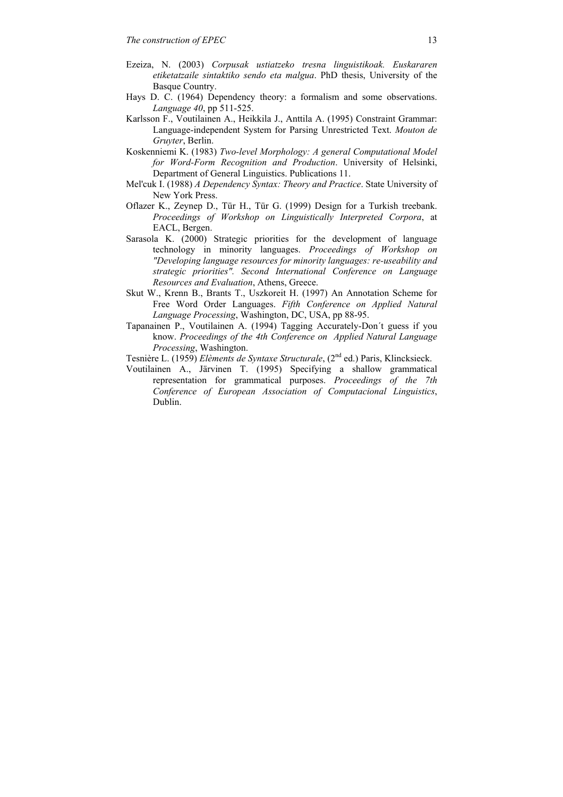- Ezeiza, N. (2003) *Corpusak ustiatzeko tresna linguistikoak. Euskararen etiketatzaile sintaktiko sendo eta malgua*. PhD thesis, University of the Basque Country.
- Hays D. C. (1964) Dependency theory: a formalism and some observations. *Language 40*, pp 511-525.
- Karlsson F., Voutilainen A., Heikkila J., Anttila A. (1995) Constraint Grammar: Language-independent System for Parsing Unrestricted Text. *Mouton de Gruyter*, Berlin.
- Koskenniemi K. (1983) *Two-level Morphology: A general Computational Model for Word-Form Recognition and Production*. University of Helsinki, Department of General Linguistics. Publications 11.
- Mel'cuk I. (1988) *A Dependency Syntax: Theory and Practice*. State University of New York Press.
- Oflazer K., Zeynep D., Tür H., Tür G. (1999) Design for a Turkish treebank. *Proceedings of Workshop on Linguistically Interpreted Corpora*, at EACL, Bergen.
- Sarasola K. (2000) Strategic priorities for the development of language technology in minority languages. *Proceedings of Workshop on "Developing language resources for minority languages: re-useability and strategic priorities". Second International Conference on Language Resources and Evaluation*, Athens, Greece.
- Skut W., Krenn B., Brants T., Uszkoreit H. (1997) An Annotation Scheme for Free Word Order Languages. *Fifth Conference on Applied Natural Language Processing*, Washington, DC, USA, pp 88-95.
- Tapanainen P., Voutilainen A. (1994) Tagging Accurately-Don´t guess if you know. *Proceedings of the 4th Conference on Applied Natural Language Processing*, Washington.

Tesnière L. (1959) *Elèments de Syntaxe Structurale*, (2nd ed.) Paris, Klincksieck.

Voutilainen A., Järvinen T. (1995) Specifying a shallow grammatical representation for grammatical purposes. *Proceedings of the 7th Conference of European Association of Computacional Linguistics*, Dublin.